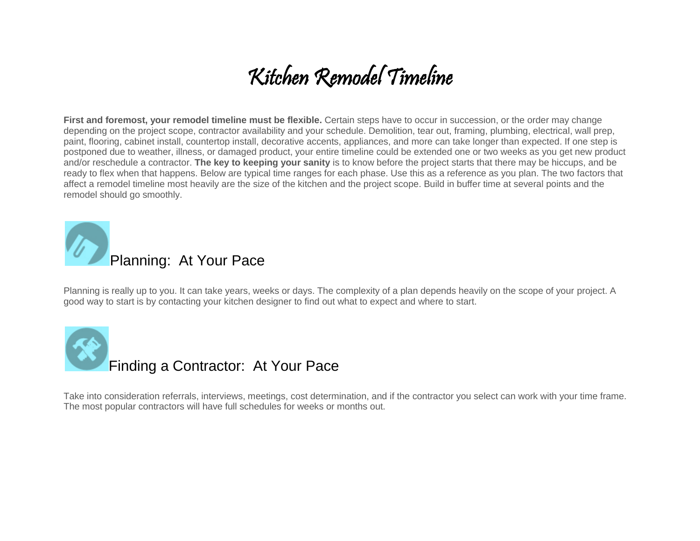## Kitchen Remodel Timeline

**First and foremost, your remodel timeline must be flexible.** Certain steps have to occur in succession, or the order may change depending on the project scope, contractor availability and your schedule. Demolition, tear out, framing, plumbing, electrical, wall prep, paint, flooring, cabinet install, countertop install, decorative accents, appliances, and more can take longer than expected. If one step is postponed due to weather, illness, or damaged product, your entire timeline could be extended one or two weeks as you get new product and/or reschedule a contractor. **The key to keeping your sanity** is to know before the project starts that there may be hiccups, and be ready to flex when that happens. Below are typical time ranges for each phase. Use this as a reference as you plan. The two factors that affect a remodel timeline most heavily are the size of the kitchen and the project scope. Build in buffer time at several points and the remodel should go smoothly.



Planning is really up to you. It can take years, weeks or days. The complexity of a plan depends heavily on the scope of your project. A good way to start is by contacting your kitchen designer to find out what to expect and where to start.



Take into consideration referrals, interviews, meetings, cost determination, and if the contractor you select can work with your time frame. The most popular contractors will have full schedules for weeks or months out.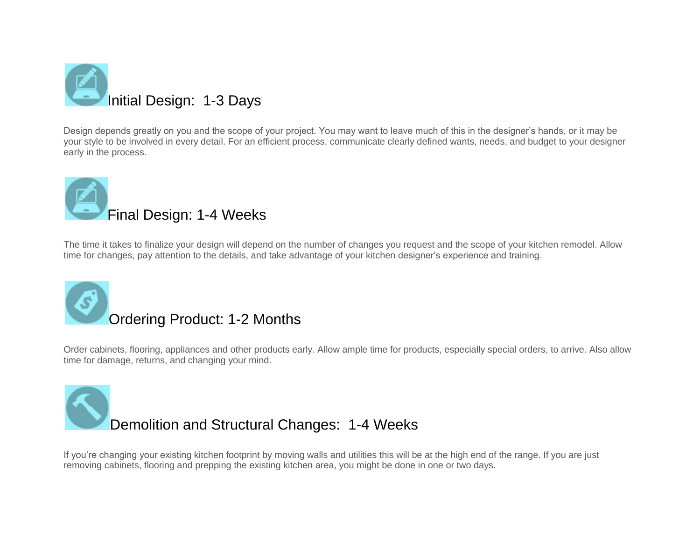

Design depends greatly on you and the scope of your project. You may want to leave much of this in the designer's hands, or it may be your style to be involved in every detail. For an efficient process, communicate clearly defined wants, needs, and budget to your designer early in the process.



The time it takes to finalize your design will depend on the number of changes you request and the scope of your kitchen remodel. Allow time for changes, pay attention to the details, and take advantage of your kitchen designer's experience and training.



Order cabinets, flooring, appliances and other products early. Allow ample time for products, especially special orders, to arrive. Also allow time for damage, returns, and changing your mind.

## Demolition and Structural Changes: 1-4 Weeks

If you're changing your existing kitchen footprint by moving walls and utilities this will be at the high end of the range. If you are just removing cabinets, flooring and prepping the existing kitchen area, you might be done in one or two days.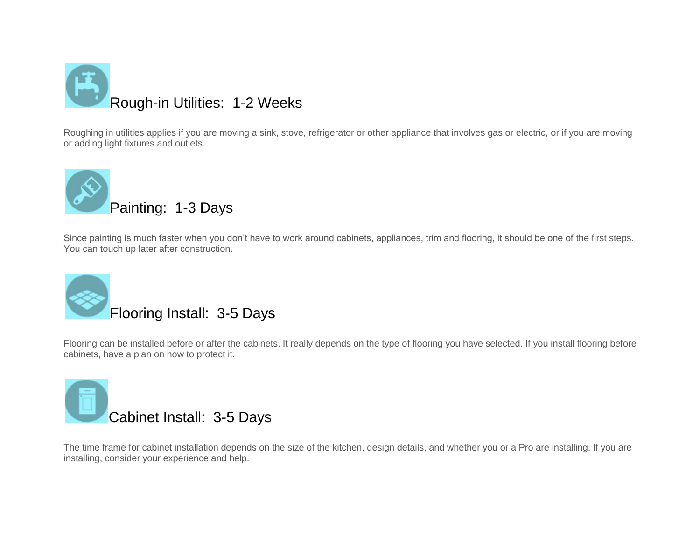

Roughing in utilities applies if you are moving a sink, stove, refrigerator or other appliance that involves gas or electric, or if you are moving or adding light fixtures and outlets.



Since painting is much faster when you don't have to work around cabinets, appliances, trim and flooring, it should be one of the first steps. You can touch up later after construction.



Flooring can be installed before or after the cabinets. It really depends on the type of flooring you have selected. If you install flooring before cabinets, have a plan on how to protect it.



The time frame for cabinet installation depends on the size of the kitchen, design details, and whether you or a Pro are installing. If you are installing, consider your experience and help.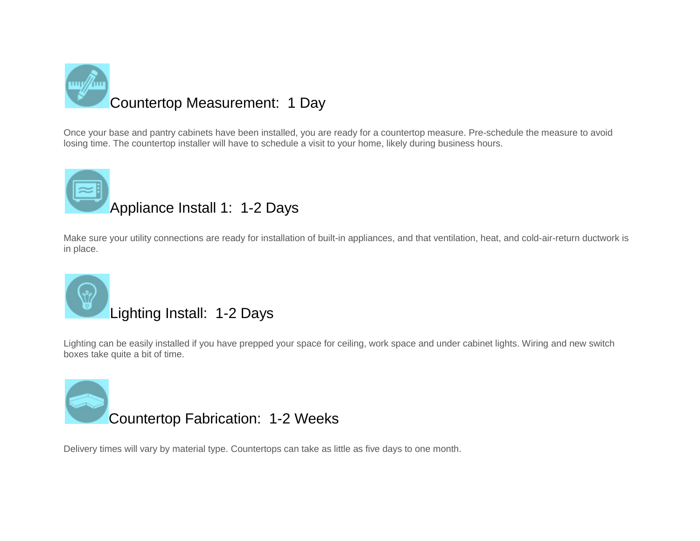

Once your base and pantry cabinets have been installed, you are ready for a countertop measure. Pre-schedule the measure to avoid losing time. The countertop installer will have to schedule a visit to your home, likely during business hours.

## Appliance Install 1: 1-2 Days

Make sure your utility connections are ready for installation of built-in appliances, and that ventilation, heat, and cold-air-return ductwork is in place.



Lighting can be easily installed if you have prepped your space for ceiling, work space and under cabinet lights. Wiring and new switch boxes take quite a bit of time.



Delivery times will vary by material type. Countertops can take as little as five days to one month.